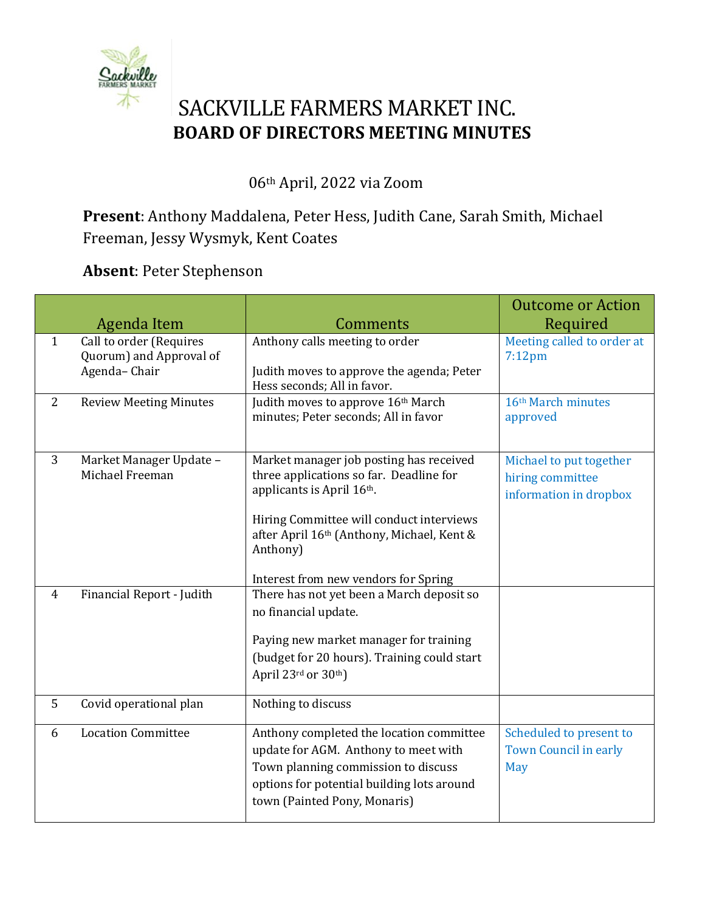

## SACKVILLE FARMERS MARKET INC. **BOARD OF DIRECTORS MEETING MINUTES**

06th April, 2022 via Zoom

**Present**: Anthony Maddalena, Peter Hess, Judith Cane, Sarah Smith, Michael Freeman, Jessy Wysmyk, Kent Coates

**Absent**: Peter Stephenson

|                | <b>Agenda Item</b>                                                 | Comments                                                                                                                                                                                                                  | <b>Outcome or Action</b><br>Required                                  |
|----------------|--------------------------------------------------------------------|---------------------------------------------------------------------------------------------------------------------------------------------------------------------------------------------------------------------------|-----------------------------------------------------------------------|
| $\mathbf{1}$   | Call to order (Requires<br>Quorum) and Approval of<br>Agenda-Chair | Anthony calls meeting to order<br>Judith moves to approve the agenda; Peter<br>Hess seconds; All in favor.                                                                                                                | Meeting called to order at<br>$7:12$ pm                               |
| 2              | <b>Review Meeting Minutes</b>                                      | Judith moves to approve 16th March<br>minutes; Peter seconds; All in favor                                                                                                                                                | 16th March minutes<br>approved                                        |
| 3              | Market Manager Update -<br>Michael Freeman                         | Market manager job posting has received<br>three applications so far. Deadline for<br>applicants is April 16th.<br>Hiring Committee will conduct interviews<br>after April 16th (Anthony, Michael, Kent &<br>Anthony)     | Michael to put together<br>hiring committee<br>information in dropbox |
| $\overline{4}$ | Financial Report - Judith                                          | Interest from new vendors for Spring<br>There has not yet been a March deposit so<br>no financial update.<br>Paying new market manager for training<br>(budget for 20 hours). Training could start<br>April 23rd or 30th) |                                                                       |
| 5              | Covid operational plan                                             | Nothing to discuss                                                                                                                                                                                                        |                                                                       |
| 6              | <b>Location Committee</b>                                          | Anthony completed the location committee<br>update for AGM. Anthony to meet with<br>Town planning commission to discuss<br>options for potential building lots around<br>town (Painted Pony, Monaris)                     | Scheduled to present to<br><b>Town Council in early</b><br>May        |